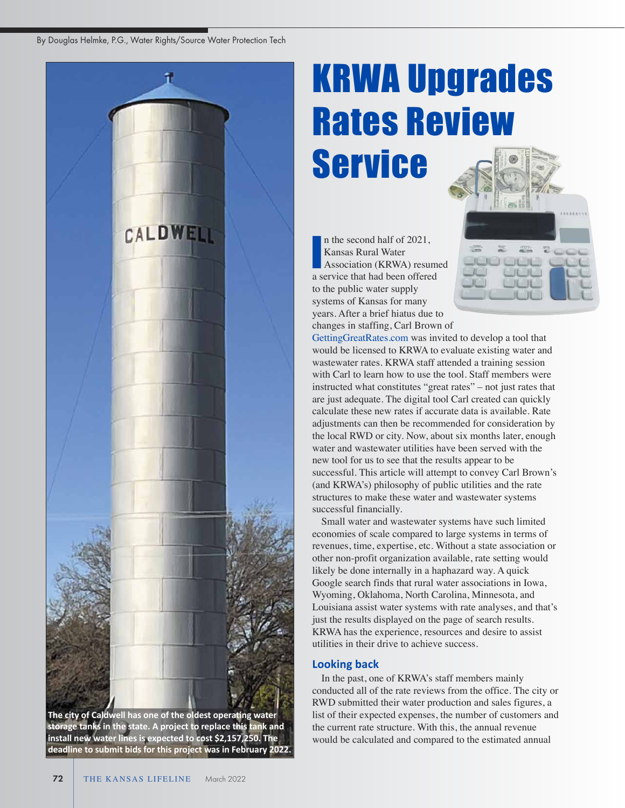By Douglas Helmke, P.G., Water Rights/Source Water Protection Tech



**The city of Caldwell has one of the oldest operating water storage tanks in the state. A project to replace this tank and install new water lines is expected to cost \$2,157,250. The deadline to submit bids for this project was in February 2022.** 

# KRWA Upgrades Rates Review Service

n the second half of 2021, Kansas Rural Water Association (KRWA) resumed a service that had been offered to the public water supply systems of Kansas for many years. After a brief hiatus due to changes in staffing, Carl Brown of I

GettingGreatRates.com was invited to develop a tool that would be licensed to KRWA to evaluate existing water and wastewater rates. KRWA staff attended a training session with Carl to learn how to use the tool. Staff members were instructed what constitutes "great rates" – not just rates that are just adequate. The digital tool Carl created can quickly calculate these new rates if accurate data is available. Rate adjustments can then be recommended for consideration by the local RWD or city. Now, about six months later, enough water and wastewater utilities have been served with the new tool for us to see that the results appear to be successful. This article will attempt to convey Carl Brown's (and KRWA's) philosophy of public utilities and the rate structures to make these water and wastewater systems successful financially.

Small water and wastewater systems have such limited economies of scale compared to large systems in terms of revenues, time, expertise, etc. Without a state association or other non-profit organization available, rate setting would likely be done internally in a haphazard way. A quick Google search finds that rural water associations in Iowa, Wyoming, Oklahoma, North Carolina, Minnesota, and Louisiana assist water systems with rate analyses, and that's just the results displayed on the page of search results. KRWA has the experience, resources and desire to assist utilities in their drive to achieve success.

# **Looking back**

In the past, one of KRWA's staff members mainly conducted all of the rate reviews from the office. The city or RWD submitted their water production and sales figures, a list of their expected expenses, the number of customers and the current rate structure. With this, the annual revenue would be calculated and compared to the estimated annual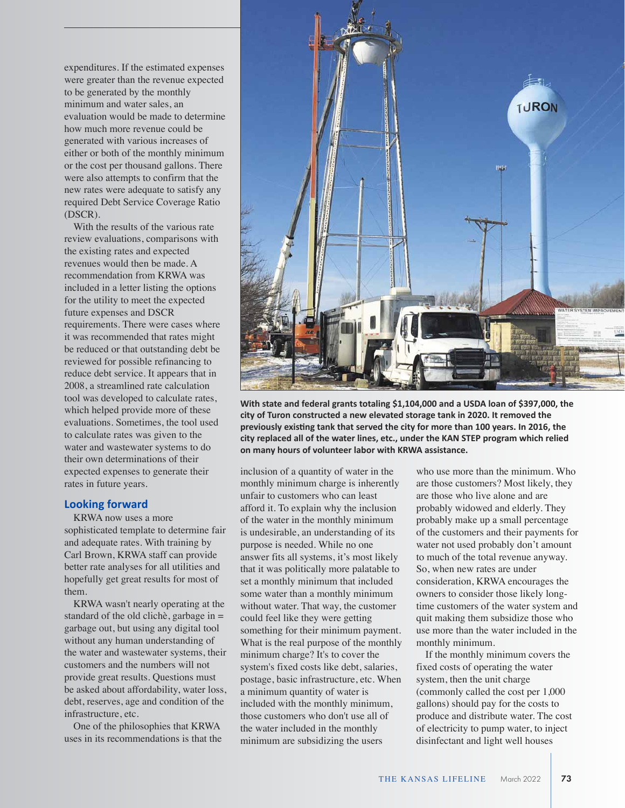expenditures. If the estimated expenses were greater than the revenue expected to be generated by the monthly minimum and water sales, an evaluation would be made to determine how much more revenue could be generated with various increases of either or both of the monthly minimum or the cost per thousand gallons. There were also attempts to confirm that the new rates were adequate to satisfy any required Debt Service Coverage Ratio (DSCR).

With the results of the various rate review evaluations, comparisons with the existing rates and expected revenues would then be made. A recommendation from KRWA was included in a letter listing the options for the utility to meet the expected future expenses and DSCR requirements. There were cases where it was recommended that rates might be reduced or that outstanding debt be reviewed for possible refinancing to reduce debt service. It appears that in 2008, a streamlined rate calculation tool was developed to calculate rates, which helped provide more of these evaluations. Sometimes, the tool used to calculate rates was given to the water and wastewater systems to do their own determinations of their expected expenses to generate their rates in future years.

## **Looking forward**

KRWA now uses a more sophisticated template to determine fair and adequate rates. With training by Carl Brown, KRWA staff can provide better rate analyses for all utilities and hopefully get great results for most of them.

KRWA wasn't nearly operating at the standard of the old clichè, garbage in  $=$ garbage out, but using any digital tool without any human understanding of the water and wastewater systems, their customers and the numbers will not provide great results. Questions must be asked about affordability, water loss, debt, reserves, age and condition of the infrastructure, etc.

One of the philosophies that KRWA uses in its recommendations is that the



**With state and federal grants totaling \$1,104,000 and a USDA loan of \$397,000, the city of Turon constructed a new elevated storage tank in 2020. It removed the previously existing tank that served the city for more than 100 years. In 2016, the city replaced all of the water lines, etc., under the KAN STEP program which relied on many hours of volunteer labor with KRWA assistance.**

inclusion of a quantity of water in the monthly minimum charge is inherently unfair to customers who can least afford it. To explain why the inclusion of the water in the monthly minimum is undesirable, an understanding of its purpose is needed. While no one answer fits all systems, it's most likely that it was politically more palatable to set a monthly minimum that included some water than a monthly minimum without water. That way, the customer could feel like they were getting something for their minimum payment. What is the real purpose of the monthly minimum charge? It's to cover the system's fixed costs like debt, salaries, postage, basic infrastructure, etc. When a minimum quantity of water is included with the monthly minimum, those customers who don't use all of the water included in the monthly minimum are subsidizing the users

who use more than the minimum. Who are those customers? Most likely, they are those who live alone and are probably widowed and elderly. They probably make up a small percentage of the customers and their payments for water not used probably don't amount to much of the total revenue anyway. So, when new rates are under consideration, KRWA encourages the owners to consider those likely longtime customers of the water system and quit making them subsidize those who use more than the water included in the monthly minimum.

If the monthly minimum covers the fixed costs of operating the water system, then the unit charge (commonly called the cost per 1,000 gallons) should pay for the costs to produce and distribute water. The cost of electricity to pump water, to inject disinfectant and light well houses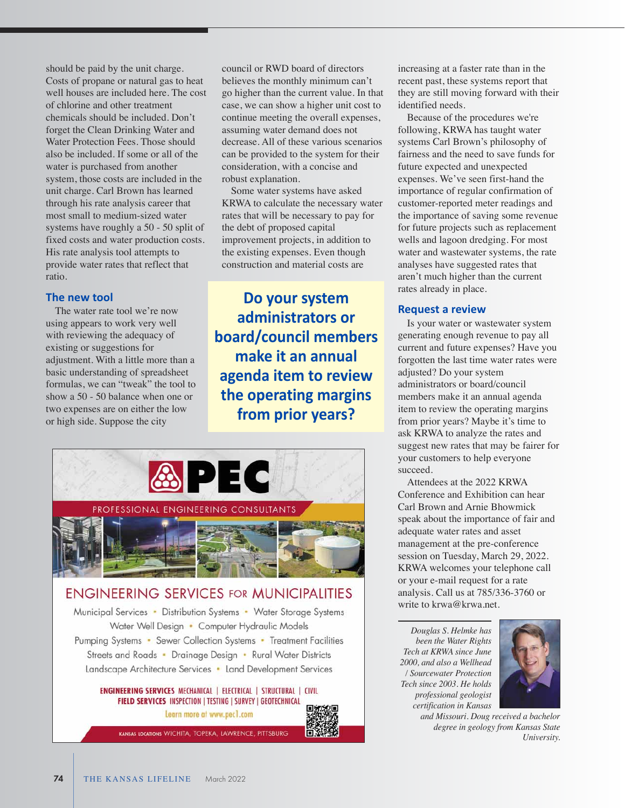should be paid by the unit charge. Costs of propane or natural gas to heat well houses are included here. The cost of chlorine and other treatment chemicals should be included. Don't forget the Clean Drinking Water and Water Protection Fees. Those should also be included. If some or all of the water is purchased from another system, those costs are included in the unit charge. Carl Brown has learned through his rate analysis career that most small to medium-sized water systems have roughly a 50 - 50 split of fixed costs and water production costs. His rate analysis tool attempts to provide water rates that reflect that ratio.

### **The new tool**

The water rate tool we're now using appears to work very well with reviewing the adequacy of existing or suggestions for adjustment. With a little more than a basic understanding of spreadsheet formulas, we can "tweak" the tool to show a 50 - 50 balance when one or two expenses are on either the low or high side. Suppose the city

council or RWD board of directors believes the monthly minimum can't go higher than the current value. In that case, we can show a higher unit cost to continue meeting the overall expenses, assuming water demand does not decrease. All of these various scenarios can be provided to the system for their consideration, with a concise and robust explanation.

Some water systems have asked KRWA to calculate the necessary water rates that will be necessary to pay for the debt of proposed capital improvement projects, in addition to the existing expenses. Even though construction and material costs are

**Do your system administrators or board/council members make it an annual agenda item to review the operating margins from prior years?** 



Municipal Services • Distribution Systems • Water Storage Systems Water Well Design • Computer Hydraulic Models Pumping Systems • Sewer Collection Systems • Treatment Facilities Streets and Roads • Drainage Design • Rural Water Districts Landscape Architecture Services • Land Development Services

**ENGINEERING SERVICES MECHANICAL | ELECTRICAL | STRUCTURAL | CIVIL** FIELD SERVICES INSPECTION | TESTING | SURVEY | GEOTECHNICAL Learn more at www.pec1.com

KANSAS LOCATIONS WICHITA, TOPEKA, LAWRENCE, PITTSBURG

increasing at a faster rate than in the recent past, these systems report that they are still moving forward with their identified needs.

Because of the procedures we're following, KRWA has taught water systems Carl Brown's philosophy of fairness and the need to save funds for future expected and unexpected expenses. We've seen first-hand the importance of regular confirmation of customer-reported meter readings and the importance of saving some revenue for future projects such as replacement wells and lagoon dredging. For most water and wastewater systems, the rate analyses have suggested rates that aren't much higher than the current rates already in place.

#### **Request a review**

Is your water or wastewater system generating enough revenue to pay all current and future expenses? Have you forgotten the last time water rates were adjusted? Do your system administrators or board/council members make it an annual agenda item to review the operating margins from prior years? Maybe it's time to ask KRWA to analyze the rates and suggest new rates that may be fairer for your customers to help everyone succeed.

Attendees at the 2022 KRWA Conference and Exhibition can hear Carl Brown and Arnie Bhowmick speak about the importance of fair and adequate water rates and asset management at the pre-conference session on Tuesday, March 29, 2022. KRWA welcomes your telephone call or your e-mail request for a rate analysis. Call us at 785/336-3760 or write to krwa@krwa.net.

*Douglas S. Helmke has been the Water Rights Tech at KRWA since June 2000, and also a Wellhead / Sourcewater Protection Tech since 2003. He holds professional geologist certification in Kansas* 



*and Missouri. Doug received a bachelor degree in geology from Kansas State University.*